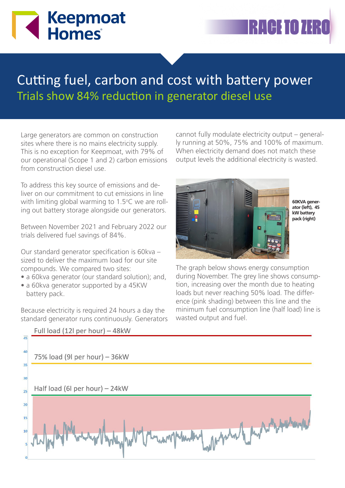# **Keepmoat Homes**

## Cutting fuel, carbon and cost with battery power Trials show 84% reduction in generator diesel use

Large generators are common on construction sites where there is no mains electricity supply. This is no exception for Keepmoat, with 79% of our operational (Scope 1 and 2) carbon emissions from construction diesel use.

To address this key source of emissions and deliver on our commitment to cut emissions in line with limiting global warming to 1.5°C we are rolling out battery storage alongside our generators.

Between November 2021 and February 2022 our trials delivered fuel savings of 84%.

Our standard generator specification is 60kva – sized to deliver the maximum load for our site compounds. We compared two sites:

- a 60kva generator (our standard solution); and,
- a 60kva generator supported by a 45KW battery pack.

Because electricity is required 24 hours a day the standard generator runs continuously. Generators cannot fully modulate electricity output – generally running at 50%, 75% and 100% of maximum. When electricity demand does not match these output levels the additional electricity is wasted.



**60KVA generator (left), 45 kW battery pack (right)**

The graph below shows energy consumption during November. The grey line shows consumption, increasing over the month due to heating loads but never reaching 50% load. The difference (pink shading) between this line and the minimum fuel consumption line (half load) line is wasted output and fuel.